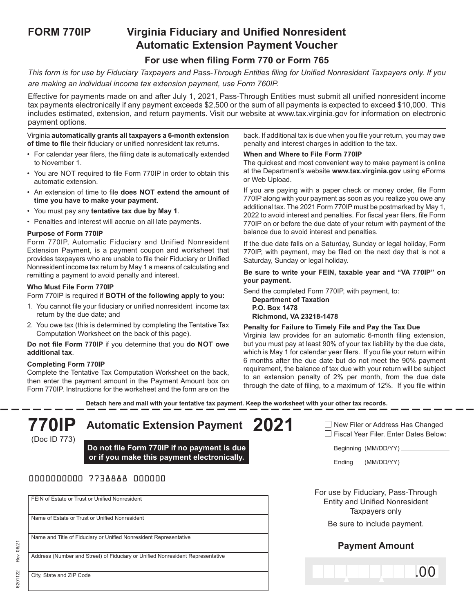# **FORM 770IP Virginia Fiduciary and Unified Nonresident Automatic Extension Payment Voucher**

## **For use when filing Form 770 or Form 765**

*This form is for use by Fiduciary Taxpayers and Pass-Through Entities filing for Unified Nonresident Taxpayers only. If you are making an individual income tax extension payment, use Form 760IP.*

Effective for payments made on and after July 1, 2021, Pass-Through Entities must submit all unified nonresident income tax payments electronically if any payment exceeds \$2,500 or the sum of all payments is expected to exceed \$10,000. This includes estimated, extension, and return payments. Visit our website at www.tax.virginia.gov for information on electronic payment options.

#### Virginia **automatically grants all taxpayers a 6-month extension of time to file** their fiduciary or unified nonresident tax returns.

- For calendar year filers, the filing date is automatically extended to November 1.
- You are NOT required to file Form 770IP in order to obtain this automatic extension.
- An extension of time to file **does NOT extend the amount of time you have to make your payment**.
- You must pay any **tentative tax due by May 1**.
- Penalties and interest will accrue on all late payments.

#### **Purpose of Form 770IP**

Form 770IP, Automatic Fiduciary and Unified Nonresident Extension Payment, is a payment coupon and worksheet that provides taxpayers who are unable to file their Fiduciary or Unified Nonresident income tax return by May 1 a means of calculating and remitting a payment to avoid penalty and interest.

#### **Who Must File Form 770IP**

Form 770IP is required if **BOTH of the following apply to you:**

- 1. You cannot file your fiduciary or unified nonresident income tax return by the due date; and
- 2. You owe tax (this is determined by completing the Tentative Tax Computation Worksheet on the back of this page).

**Do not file Form 770IP** if you determine that you **do NOT owe additional tax**.

### **Completing Form 770IP**

6201122 Rev. 06/21

6201122

Rev. 06/2

Complete the Tentative Tax Computation Worksheet on the back, then enter the payment amount in the Payment Amount box on Form 770IP. Instructions for the worksheet and the form are on the back. If additional tax is due when you file your return, you may owe penalty and interest charges in addition to the tax.

#### **When and Where to File Form 770IP**

The quickest and most convenient way to make payment is online at the Department's website **www.tax.virginia.gov** using eForms or Web Upload.

If you are paying with a paper check or money order, file Form 770IP along with your payment as soon as you realize you owe any additional tax. The 2021 Form 770IP must be postmarked by May 1, 2022 to avoid interest and penalties. For fiscal year filers, file Form 770IP on or before the due date of your return with payment of the balance due to avoid interest and penalties.

If the due date falls on a Saturday, Sunday or legal holiday, Form 770IP, with payment, may be filed on the next day that is not a Saturday, Sunday or legal holiday.

**Be sure to write your FEIN, taxable year and "VA 770IP" on your payment.**

Send the completed Form 770IP, with payment, to: **Department of Taxation P.O. Box 1478**

**Richmond, VA 23218-1478**

#### **Penalty for Failure to Timely File and Pay the Tax Due**

Virginia law provides for an automatic 6-month filing extension, but you must pay at least 90% of your tax liability by the due date, which is May 1 for calendar year filers. If you file your return within 6 months after the due date but do not meet the 90% payment requirement, the balance of tax due with your return will be subject to an extension penalty of 2% per month, from the due date through the date of filing, to a maximum of 12%. If you file within

**Detach here and mail with your tentative tax payment. Keep the worksheet with your other tax records.**

| <b>770IP</b><br>(Doc ID 773) | <b>Automatic Extension Payment</b>                                                         | 2021 | $\Box$ New Filer or Address Has Changed<br>□ Fiscal Year Filer. Enter Dates Below:            |  |  |  |  |  |  |
|------------------------------|--------------------------------------------------------------------------------------------|------|-----------------------------------------------------------------------------------------------|--|--|--|--|--|--|
|                              | Do not file Form 770IP if no payment is due<br>or if you make this payment electronically. |      | Beginning (MM/DD/YY) __________<br>Ending                                                     |  |  |  |  |  |  |
| 0000000000 7738888 000000    |                                                                                            |      |                                                                                               |  |  |  |  |  |  |
|                              | FEIN of Estate or Trust or Unified Nonresident                                             |      | For use by Fiduciary, Pass-Through<br><b>Entity and Unified Nonresident</b><br>Taxpayers only |  |  |  |  |  |  |
|                              | Name of Estate or Trust or Unified Nonresident                                             |      | Be sure to include payment.                                                                   |  |  |  |  |  |  |
|                              | Name and Title of Fiduciary or Unified Nonresident Representative                          |      | <b>Payment Amount</b>                                                                         |  |  |  |  |  |  |
| City, State and ZIP Code     | Address (Number and Street) of Fiduciary or Unified Nonresident Representative             |      | LO O                                                                                          |  |  |  |  |  |  |
|                              |                                                                                            |      |                                                                                               |  |  |  |  |  |  |